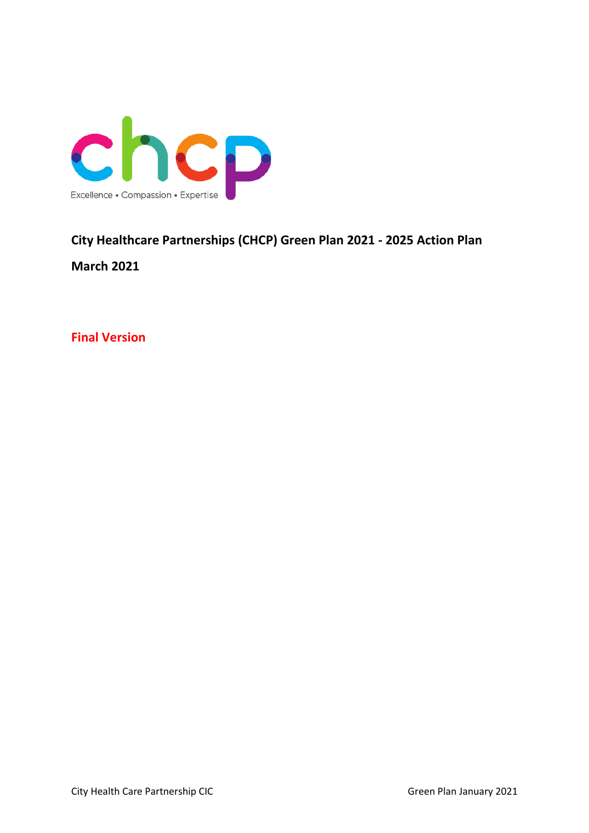

# **City Healthcare Partnerships (CHCP) Green Plan 2021 - 2025 Action Plan**

**March 2021**

**Final Version**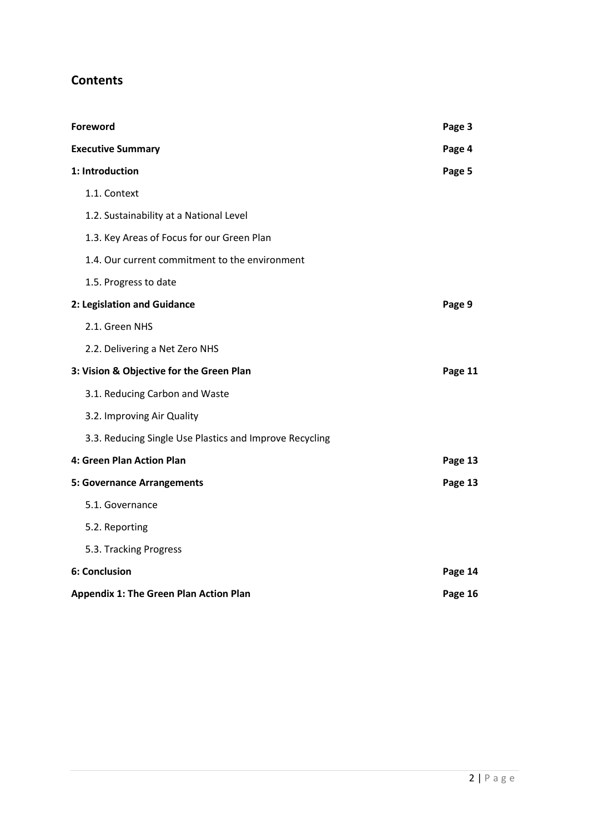# **Contents**

| Foreword                                                | Page 3  |
|---------------------------------------------------------|---------|
| <b>Executive Summary</b>                                | Page 4  |
| 1: Introduction                                         | Page 5  |
| 1.1. Context                                            |         |
| 1.2. Sustainability at a National Level                 |         |
| 1.3. Key Areas of Focus for our Green Plan              |         |
| 1.4. Our current commitment to the environment          |         |
| 1.5. Progress to date                                   |         |
| 2: Legislation and Guidance                             | Page 9  |
| 2.1. Green NHS                                          |         |
| 2.2. Delivering a Net Zero NHS                          |         |
| 3: Vision & Objective for the Green Plan                | Page 11 |
| 3.1. Reducing Carbon and Waste                          |         |
| 3.2. Improving Air Quality                              |         |
| 3.3. Reducing Single Use Plastics and Improve Recycling |         |
| 4: Green Plan Action Plan                               | Page 13 |
| <b>5: Governance Arrangements</b>                       | Page 13 |
| 5.1. Governance                                         |         |
| 5.2. Reporting                                          |         |
| 5.3. Tracking Progress                                  |         |
| 6: Conclusion                                           | Page 14 |
| <b>Appendix 1: The Green Plan Action Plan</b>           | Page 16 |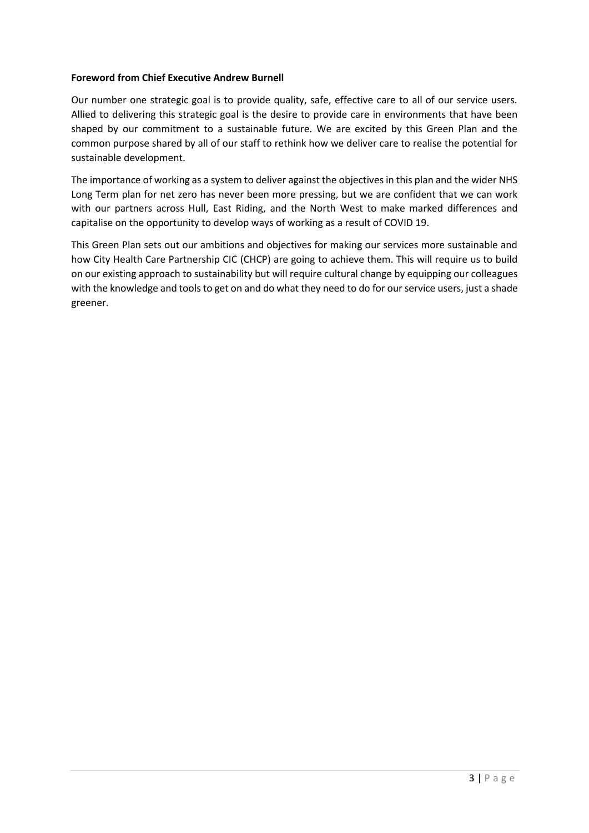#### **Foreword from Chief Executive Andrew Burnell**

Our number one strategic goal is to provide quality, safe, effective care to all of our service users. Allied to delivering this strategic goal is the desire to provide care in environments that have been shaped by our commitment to a sustainable future. We are excited by this Green Plan and the common purpose shared by all of our staff to rethink how we deliver care to realise the potential for sustainable development.

The importance of working as a system to deliver against the objectives in this plan and the wider NHS Long Term plan for net zero has never been more pressing, but we are confident that we can work with our partners across Hull, East Riding, and the North West to make marked differences and capitalise on the opportunity to develop ways of working as a result of COVID 19.

This Green Plan sets out our ambitions and objectives for making our services more sustainable and how City Health Care Partnership CIC (CHCP) are going to achieve them. This will require us to build on our existing approach to sustainability but will require cultural change by equipping our colleagues with the knowledge and tools to get on and do what they need to do for our service users, just a shade greener.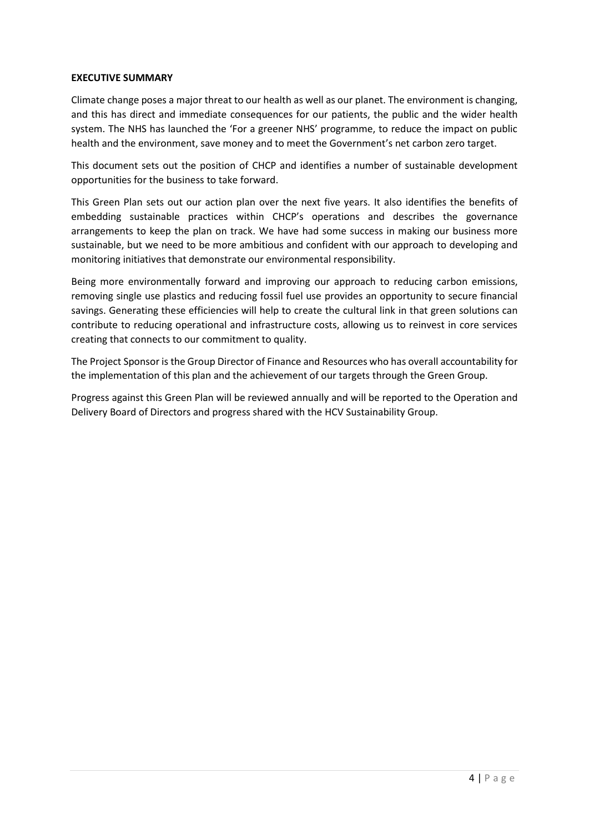#### **EXECUTIVE SUMMARY**

Climate change poses a major threat to our health as well as our planet. The environment is changing, and this has direct and immediate consequences for our patients, the public and the wider health system. The NHS has launched the 'For a greener NHS' programme, to reduce the impact on public health and the environment, save money and to meet the Government's net carbon zero target.

This document sets out the position of CHCP and identifies a number of sustainable development opportunities for the business to take forward.

This Green Plan sets out our action plan over the next five years. It also identifies the benefits of embedding sustainable practices within CHCP's operations and describes the governance arrangements to keep the plan on track. We have had some success in making our business more sustainable, but we need to be more ambitious and confident with our approach to developing and monitoring initiatives that demonstrate our environmental responsibility.

Being more environmentally forward and improving our approach to reducing carbon emissions, removing single use plastics and reducing fossil fuel use provides an opportunity to secure financial savings. Generating these efficiencies will help to create the cultural link in that green solutions can contribute to reducing operational and infrastructure costs, allowing us to reinvest in core services creating that connects to our commitment to quality.

The Project Sponsor is the Group Director of Finance and Resources who has overall accountability for the implementation of this plan and the achievement of our targets through the Green Group.

Progress against this Green Plan will be reviewed annually and will be reported to the Operation and Delivery Board of Directors and progress shared with the HCV Sustainability Group.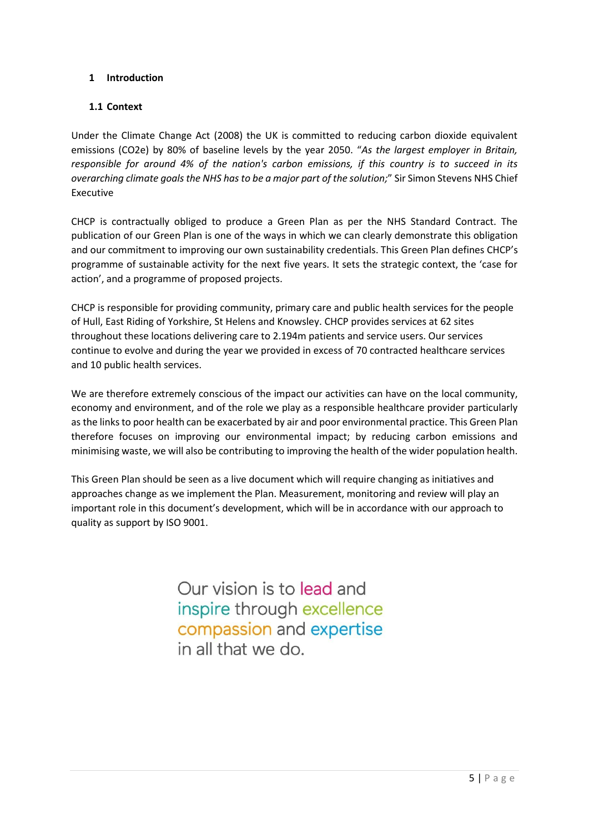#### **1 Introduction**

#### **1.1 Context**

Under the Climate Change Act (2008) the UK is committed to reducing carbon dioxide equivalent emissions (CO2e) by 80% of baseline levels by the year 2050. "*As the largest employer in Britain, responsible for around 4% of the nation's carbon emissions, if this country is to succeed in its overarching climate goals the NHS has to be a major part of the solution;*" Sir Simon Stevens NHS Chief Executive

CHCP is contractually obliged to produce a Green Plan as per the NHS Standard Contract. The publication of our Green Plan is one of the ways in which we can clearly demonstrate this obligation and our commitment to improving our own sustainability credentials. This Green Plan defines CHCP's programme of sustainable activity for the next five years. It sets the strategic context, the 'case for action', and a programme of proposed projects.

CHCP is responsible for providing community, primary care and public health services for the people of Hull, East Riding of Yorkshire, St Helens and Knowsley. CHCP provides services at 62 sites throughout these locations delivering care to 2.194m patients and service users. Our services continue to evolve and during the year we provided in excess of 70 contracted healthcare services and 10 public health services.

We are therefore extremely conscious of the impact our activities can have on the local community, economy and environment, and of the role we play as a responsible healthcare provider particularly as the links to poor health can be exacerbated by air and poor environmental practice. This Green Plan therefore focuses on improving our environmental impact; by reducing carbon emissions and minimising waste, we will also be contributing to improving the health of the wider population health.

This Green Plan should be seen as a live document which will require changing as initiatives and approaches change as we implement the Plan. Measurement, monitoring and review will play an important role in this document's development, which will be in accordance with our approach to quality as support by ISO 9001.

> Our vision is to lead and inspire through excellence compassion and expertise in all that we do.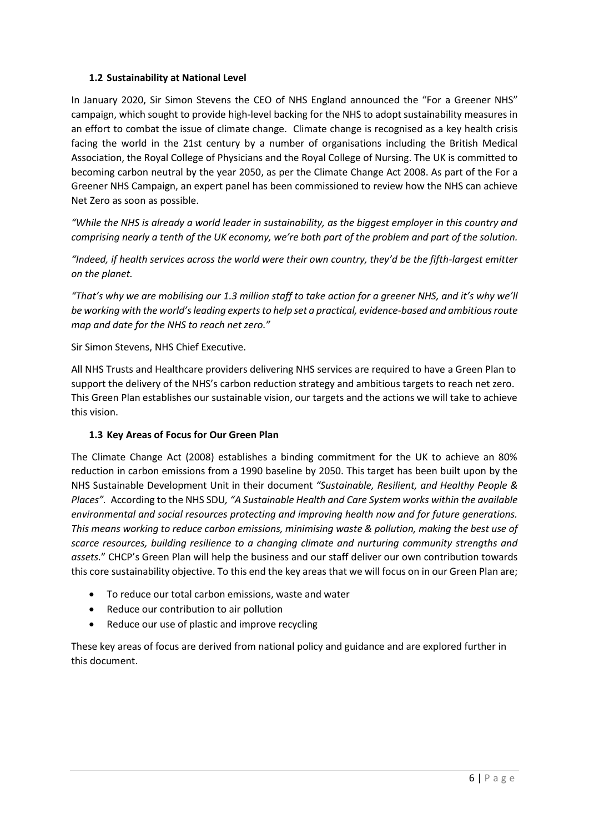#### **1.2 Sustainability at National Level**

In January 2020, Sir Simon Stevens the CEO of NHS England announced the "For a Greener NHS" campaign, which sought to provide high-level backing for the NHS to adopt sustainability measures in an effort to combat the issue of climate change. Climate change is recognised as a key health crisis facing the world in the 21st century by a number of organisations including the British Medical Association, the Royal College of Physicians and the Royal College of Nursing. The UK is committed to becoming carbon neutral by the year 2050, as per the Climate Change Act 2008. As part of the For a Greener NHS Campaign, an expert panel has been commissioned to review how the NHS can achieve Net Zero as soon as possible.

*"While the NHS is already a world leader in sustainability, as the biggest employer in this country and comprising nearly a tenth of the UK economy, we're both part of the problem and part of the solution.*

*"Indeed, if health services across the world were their own country, they'd be the fifth-largest emitter on the planet.*

*"That's why we are mobilising our 1.3 million staff to take action for a greener NHS, and it's why we'll be working with the world's leading experts to help set a practical, evidence-based and ambitious route map and date for the NHS to reach net zero."*

Sir Simon Stevens, NHS Chief Executive.

All NHS Trusts and Healthcare providers delivering NHS services are required to have a Green Plan to support the delivery of the NHS's carbon reduction strategy and ambitious targets to reach net zero. This Green Plan establishes our sustainable vision, our targets and the actions we will take to achieve this vision.

#### **1.3 Key Areas of Focus for Our Green Plan**

The Climate Change Act (2008) establishes a binding commitment for the UK to achieve an 80% reduction in carbon emissions from a 1990 baseline by 2050. This target has been built upon by the NHS Sustainable Development Unit in their document *"Sustainable, Resilient, and Healthy People & Places".* According to the NHS SDU*, "A Sustainable Health and Care System works within the available environmental and social resources protecting and improving health now and for future generations. This means working to reduce carbon emissions, minimising waste & pollution, making the best use of scarce resources, building resilience to a changing climate and nurturing community strengths and assets.*" CHCP's Green Plan will help the business and our staff deliver our own contribution towards this core sustainability objective. To this end the key areas that we will focus on in our Green Plan are;

- To reduce our total carbon emissions, waste and water
- Reduce our contribution to air pollution
- Reduce our use of plastic and improve recycling

These key areas of focus are derived from national policy and guidance and are explored further in this document.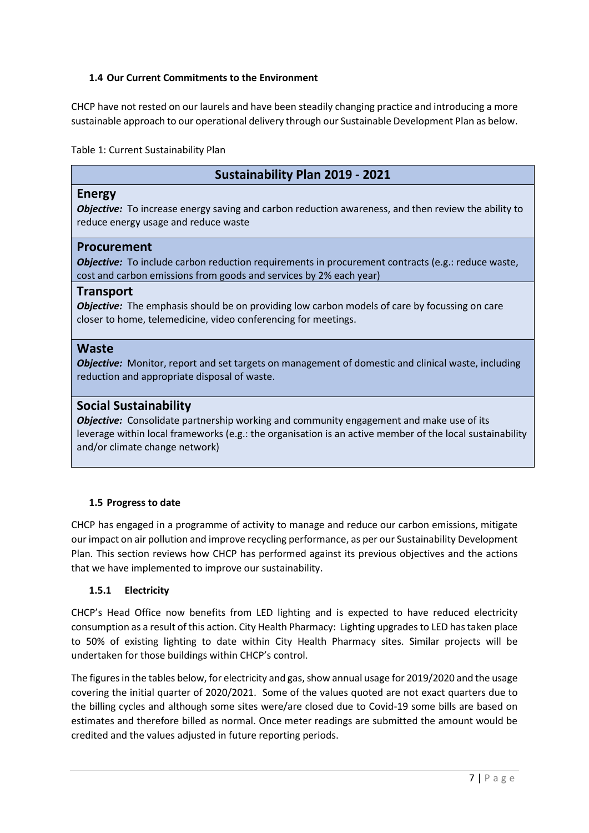#### **1.4 Our Current Commitments to the Environment**

CHCP have not rested on our laurels and have been steadily changing practice and introducing a more sustainable approach to our operational delivery through our Sustainable Development Plan as below.

Table 1: Current Sustainability Plan

### **Sustainability Plan 2019 - 2021**

#### **Energy**

*Objective:* To increase energy saving and carbon reduction awareness, and then review the ability to reduce energy usage and reduce waste

#### **Procurement**

**Objective:** To include carbon reduction requirements in procurement contracts (e.g.: reduce waste, cost and carbon emissions from goods and services by 2% each year)

#### **Transport**

*Objective:* The emphasis should be on providing low carbon models of care by focussing on care closer to home, telemedicine, video conferencing for meetings.

#### **Waste**

*Objective:* Monitor, report and set targets on management of domestic and clinical waste, including reduction and appropriate disposal of waste.

#### **Social Sustainability**

*Objective:* Consolidate partnership working and community engagement and make use of its leverage within local frameworks (e.g.: the organisation is an active member of the local sustainability and/or climate change network)

#### **1.5 Progress to date**

CHCP has engaged in a programme of activity to manage and reduce our carbon emissions, mitigate our impact on air pollution and improve recycling performance, as per our Sustainability Development Plan. This section reviews how CHCP has performed against its previous objectives and the actions that we have implemented to improve our sustainability.

#### **1.5.1 Electricity**

CHCP's Head Office now benefits from LED lighting and is expected to have reduced electricity consumption as a result of this action. City Health Pharmacy: Lighting upgrades to LED has taken place to 50% of existing lighting to date within City Health Pharmacy sites. Similar projects will be undertaken for those buildings within CHCP's control.

The figures in the tables below, for electricity and gas, show annual usage for 2019/2020 and the usage covering the initial quarter of 2020/2021. Some of the values quoted are not exact quarters due to the billing cycles and although some sites were/are closed due to Covid-19 some bills are based on estimates and therefore billed as normal. Once meter readings are submitted the amount would be credited and the values adjusted in future reporting periods.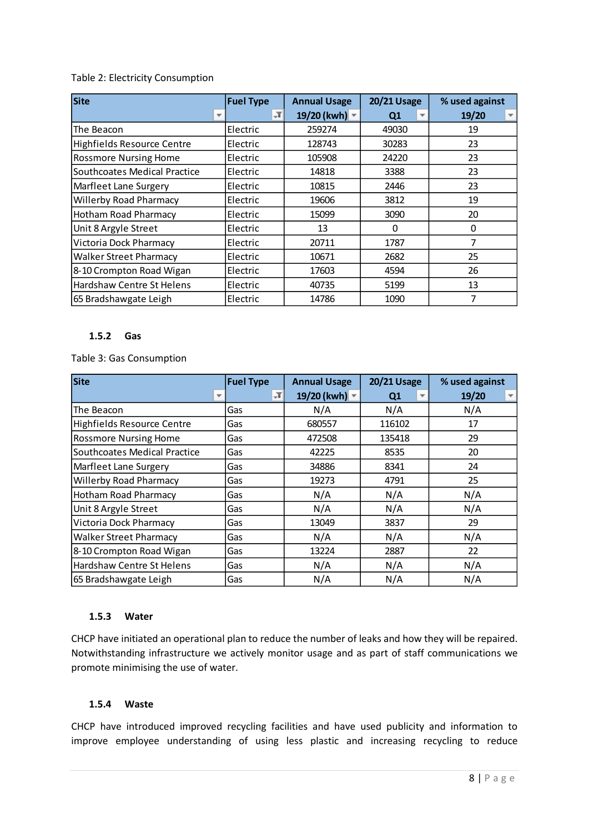#### Table 2: Electricity Consumption

| <b>Site</b>                   | <b>Fuel Type</b> | <b>Annual Usage</b> | <b>20/21 Usage</b> | % used against |
|-------------------------------|------------------|---------------------|--------------------|----------------|
|                               | $\sqrt{1}$       | 19/20 (kwh) ~       | Q <sub>1</sub>     | 19/20<br>▼     |
| The Beacon                    | Electric         | 259274              | 49030              | 19             |
| Highfields Resource Centre    | Electric         | 128743              | 30283              | 23             |
| <b>Rossmore Nursing Home</b>  | Electric         | 105908              | 24220              | 23             |
| Southcoates Medical Practice  | Electric         | 14818               | 3388               | 23             |
| Marfleet Lane Surgery         | Electric         | 10815               | 2446               | 23             |
| <b>Willerby Road Pharmacy</b> | Electric         | 19606               | 3812               | 19             |
| Hotham Road Pharmacy          | Electric         | 15099               | 3090               | 20             |
| Unit 8 Argyle Street          | Electric         | 13                  | 0                  | 0              |
| Victoria Dock Pharmacy        | Electric         | 20711               | 1787               | 7              |
| <b>Walker Street Pharmacy</b> | Electric         | 10671               | 2682               | 25             |
| 8-10 Crompton Road Wigan      | Electric         | 17603               | 4594               | 26             |
| Hardshaw Centre St Helens     | Electric         | 40735               | 5199               | 13             |
| 65 Bradshawgate Leigh         | Electric         | 14786               | 1090               | 7              |

#### **1.5.2 Gas**

Table 3: Gas Consumption

| <b>Site</b>                         | <b>Fuel Type</b> | <b>Annual Usage</b>    | <b>20/21 Usage</b> | % used against |
|-------------------------------------|------------------|------------------------|--------------------|----------------|
|                                     | JТ               | 19/20 (kwh) $\sqrt{*}$ | Q <sub>1</sub>     | 19/20          |
| The Beacon                          | Gas              | N/A                    | N/A                | N/A            |
| <b>Highfields Resource Centre</b>   | Gas              | 680557                 | 116102             | 17             |
| <b>Rossmore Nursing Home</b>        | Gas              | 472508                 | 135418             | 29             |
| <b>Southcoates Medical Practice</b> | Gas              | 42225                  | 8535               | 20             |
| Marfleet Lane Surgery               | Gas              | 34886                  | 8341               | 24             |
| <b>Willerby Road Pharmacy</b>       | Gas              | 19273                  | 4791               | 25             |
| Hotham Road Pharmacy                | Gas              | N/A                    | N/A                | N/A            |
| Unit 8 Argyle Street                | Gas              | N/A                    | N/A                | N/A            |
| Victoria Dock Pharmacy              | Gas              | 13049                  | 3837               | 29             |
| <b>Walker Street Pharmacy</b>       | Gas              | N/A                    | N/A                | N/A            |
| 8-10 Crompton Road Wigan            | Gas              | 13224                  | 2887               | 22             |
| Hardshaw Centre St Helens           | Gas              | N/A                    | N/A                | N/A            |
| 65 Bradshawgate Leigh               | Gas              | N/A                    | N/A                | N/A            |

#### **1.5.3 Water**

CHCP have initiated an operational plan to reduce the number of leaks and how they will be repaired. Notwithstanding infrastructure we actively monitor usage and as part of staff communications we promote minimising the use of water.

#### **1.5.4 Waste**

CHCP have introduced improved recycling facilities and have used publicity and information to improve employee understanding of using less plastic and increasing recycling to reduce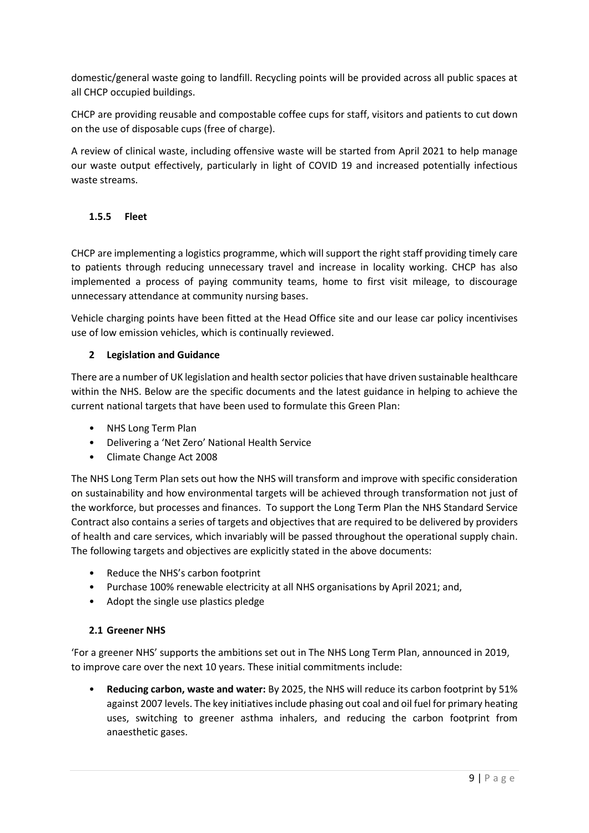domestic/general waste going to landfill. Recycling points will be provided across all public spaces at all CHCP occupied buildings.

CHCP are providing reusable and compostable coffee cups for staff, visitors and patients to cut down on the use of disposable cups (free of charge).

A review of clinical waste, including offensive waste will be started from April 2021 to help manage our waste output effectively, particularly in light of COVID 19 and increased potentially infectious waste streams.

#### **1.5.5 Fleet**

CHCP are implementing a logistics programme, which will support the right staff providing timely care to patients through reducing unnecessary travel and increase in locality working. CHCP has also implemented a process of paying community teams, home to first visit mileage, to discourage unnecessary attendance at community nursing bases.

Vehicle charging points have been fitted at the Head Office site and our lease car policy incentivises use of low emission vehicles, which is continually reviewed.

#### **2 Legislation and Guidance**

There are a number of UK legislation and health sector policies that have driven sustainable healthcare within the NHS. Below are the specific documents and the latest guidance in helping to achieve the current national targets that have been used to formulate this Green Plan:

- NHS Long Term Plan
- Delivering a 'Net Zero' National Health Service
- Climate Change Act 2008

The NHS Long Term Plan sets out how the NHS will transform and improve with specific consideration on sustainability and how environmental targets will be achieved through transformation not just of the workforce, but processes and finances. To support the Long Term Plan the NHS Standard Service Contract also contains a series of targets and objectives that are required to be delivered by providers of health and care services, which invariably will be passed throughout the operational supply chain. The following targets and objectives are explicitly stated in the above documents:

- Reduce the NHS's carbon footprint
- Purchase 100% renewable electricity at all NHS organisations by April 2021; and,
- Adopt the single use plastics pledge

#### **2.1 Greener NHS**

'For a greener NHS' supports the ambitions set out in The NHS Long Term Plan, announced in 2019, to improve care over the next 10 years. These initial commitments include:

• **Reducing carbon, waste and water:** By 2025, the NHS will reduce its carbon footprint by 51% against 2007 levels. The key initiatives include phasing out coal and oil fuel for primary heating uses, switching to greener asthma inhalers, and reducing the carbon footprint from anaesthetic gases.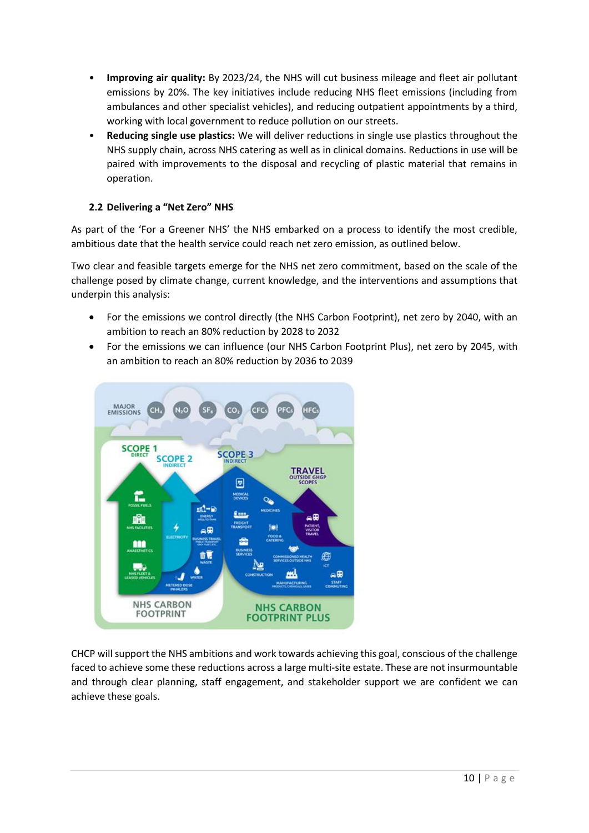- **Improving air quality:** By 2023/24, the NHS will cut business mileage and fleet air pollutant emissions by 20%. The key initiatives include reducing NHS fleet emissions (including from ambulances and other specialist vehicles), and reducing outpatient appointments by a third, working with local government to reduce pollution on our streets.
- **Reducing single use plastics:** We will deliver reductions in single use plastics throughout the NHS supply chain, across NHS catering as well as in clinical domains. Reductions in use will be paired with improvements to the disposal and recycling of plastic material that remains in operation.

#### **2.2 Delivering a "Net Zero" NHS**

As part of the 'For a Greener NHS' the NHS embarked on a process to identify the most credible, ambitious date that the health service could reach net zero emission, as outlined below.

Two clear and feasible targets emerge for the NHS net zero commitment, based on the scale of the challenge posed by climate change, current knowledge, and the interventions and assumptions that underpin this analysis:

- For the emissions we control directly (the NHS Carbon Footprint), net zero by 2040, with an ambition to reach an 80% reduction by 2028 to 2032
- For the emissions we can influence (our NHS Carbon Footprint Plus), net zero by 2045, with an ambition to reach an 80% reduction by 2036 to 2039



CHCP will support the NHS ambitions and work towards achieving this goal, conscious of the challenge faced to achieve some these reductions across a large multi-site estate. These are not insurmountable and through clear planning, staff engagement, and stakeholder support we are confident we can achieve these goals.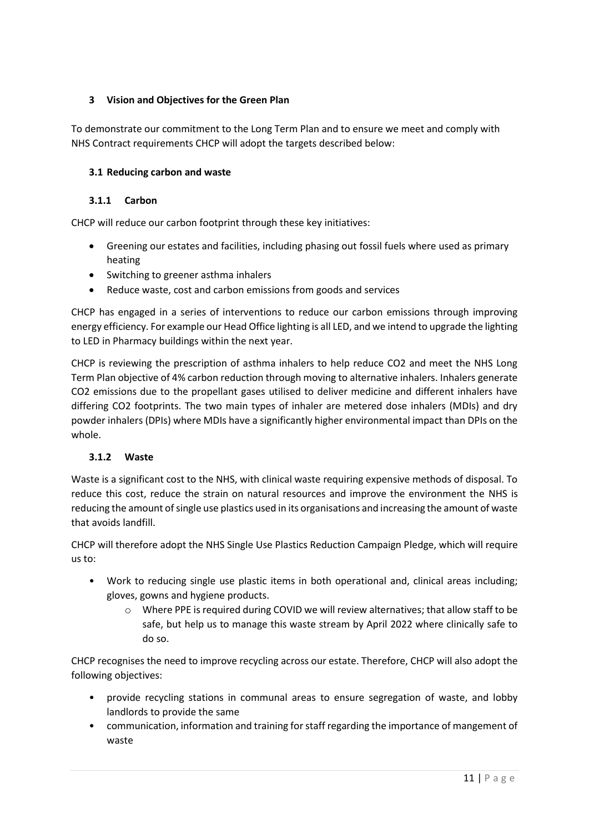#### **3 Vision and Objectives for the Green Plan**

To demonstrate our commitment to the Long Term Plan and to ensure we meet and comply with NHS Contract requirements CHCP will adopt the targets described below:

#### **3.1 Reducing carbon and waste**

#### **3.1.1 Carbon**

CHCP will reduce our carbon footprint through these key initiatives:

- Greening our estates and facilities, including phasing out fossil fuels where used as primary heating
- Switching to greener asthma inhalers
- Reduce waste, cost and carbon emissions from goods and services

CHCP has engaged in a series of interventions to reduce our carbon emissions through improving energy efficiency. For example our Head Office lighting is all LED, and we intend to upgrade the lighting to LED in Pharmacy buildings within the next year.

CHCP is reviewing the prescription of asthma inhalers to help reduce CO2 and meet the NHS Long Term Plan objective of 4% carbon reduction through moving to alternative inhalers. Inhalers generate CO2 emissions due to the propellant gases utilised to deliver medicine and different inhalers have differing CO2 footprints. The two main types of inhaler are metered dose inhalers (MDIs) and dry powder inhalers (DPIs) where MDIs have a significantly higher environmental impact than DPIs on the whole.

#### **3.1.2 Waste**

Waste is a significant cost to the NHS, with clinical waste requiring expensive methods of disposal. To reduce this cost, reduce the strain on natural resources and improve the environment the NHS is reducing the amount of single use plastics used in its organisations and increasing the amount of waste that avoids landfill.

CHCP will therefore adopt the NHS Single Use Plastics Reduction Campaign Pledge, which will require us to:

- Work to reducing single use plastic items in both operational and, clinical areas including; gloves, gowns and hygiene products.
	- o Where PPE is required during COVID we will review alternatives; that allow staff to be safe, but help us to manage this waste stream by April 2022 where clinically safe to do so.

CHCP recognises the need to improve recycling across our estate. Therefore, CHCP will also adopt the following objectives:

- provide recycling stations in communal areas to ensure segregation of waste, and lobby landlords to provide the same
- communication, information and training for staff regarding the importance of mangement of waste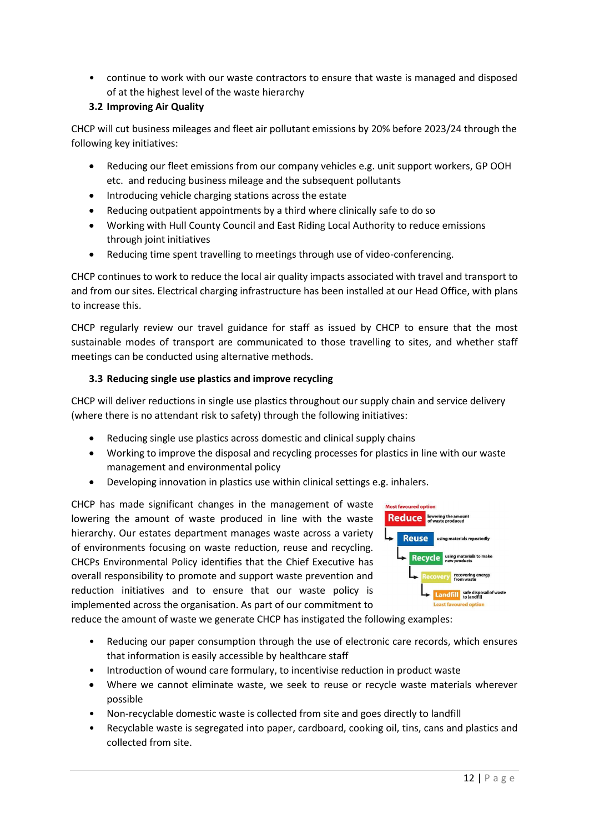• continue to work with our waste contractors to ensure that waste is managed and disposed of at the highest level of the waste hierarchy

#### **3.2 Improving Air Quality**

CHCP will cut business mileages and fleet air pollutant emissions by 20% before 2023/24 through the following key initiatives:

- Reducing our fleet emissions from our company vehicles e.g. unit support workers, GP OOH etc. and reducing business mileage and the subsequent pollutants
- Introducing vehicle charging stations across the estate
- Reducing outpatient appointments by a third where clinically safe to do so
- Working with Hull County Council and East Riding Local Authority to reduce emissions through joint initiatives
- Reducing time spent travelling to meetings through use of video-conferencing.

CHCP continues to work to reduce the local air quality impacts associated with travel and transport to and from our sites. Electrical charging infrastructure has been installed at our Head Office, with plans to increase this.

CHCP regularly review our travel guidance for staff as issued by CHCP to ensure that the most sustainable modes of transport are communicated to those travelling to sites, and whether staff meetings can be conducted using alternative methods.

#### **3.3 Reducing single use plastics and improve recycling**

CHCP will deliver reductions in single use plastics throughout our supply chain and service delivery (where there is no attendant risk to safety) through the following initiatives:

- Reducing single use plastics across domestic and clinical supply chains
- Working to improve the disposal and recycling processes for plastics in line with our waste management and environmental policy
- Developing innovation in plastics use within clinical settings e.g. inhalers.

CHCP has made significant changes in the management of waste lowering the amount of waste produced in line with the waste hierarchy. Our estates department manages waste across a variety of environments focusing on waste reduction, reuse and recycling. CHCPs Environmental Policy identifies that the Chief Executive has overall responsibility to promote and support waste prevention and reduction initiatives and to ensure that our waste policy is implemented across the organisation. As part of our commitment to



reduce the amount of waste we generate CHCP has instigated the following examples:

- Reducing our paper consumption through the use of electronic care records, which ensures that information is easily accessible by healthcare staff
- Introduction of wound care formulary, to incentivise reduction in product waste
- Where we cannot eliminate waste, we seek to reuse or recycle waste materials wherever possible
- Non-recyclable domestic waste is collected from site and goes directly to landfill
- Recyclable waste is segregated into paper, cardboard, cooking oil, tins, cans and plastics and collected from site.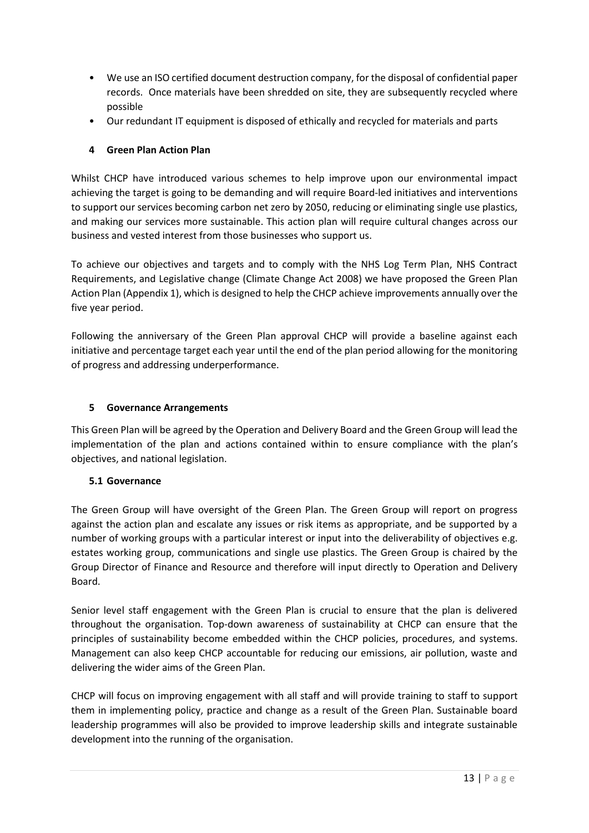- We use an ISO certified document destruction company, for the disposal of confidential paper records. Once materials have been shredded on site, they are subsequently recycled where possible
- Our redundant IT equipment is disposed of ethically and recycled for materials and parts

#### **4 Green Plan Action Plan**

Whilst CHCP have introduced various schemes to help improve upon our environmental impact achieving the target is going to be demanding and will require Board-led initiatives and interventions to support our services becoming carbon net zero by 2050, reducing or eliminating single use plastics, and making our services more sustainable. This action plan will require cultural changes across our business and vested interest from those businesses who support us.

To achieve our objectives and targets and to comply with the NHS Log Term Plan, NHS Contract Requirements, and Legislative change (Climate Change Act 2008) we have proposed the Green Plan Action Plan (Appendix 1), which is designed to help the CHCP achieve improvements annually over the five year period.

Following the anniversary of the Green Plan approval CHCP will provide a baseline against each initiative and percentage target each year until the end of the plan period allowing for the monitoring of progress and addressing underperformance.

#### **5 Governance Arrangements**

This Green Plan will be agreed by the Operation and Delivery Board and the Green Group will lead the implementation of the plan and actions contained within to ensure compliance with the plan's objectives, and national legislation.

#### **5.1 Governance**

The Green Group will have oversight of the Green Plan. The Green Group will report on progress against the action plan and escalate any issues or risk items as appropriate, and be supported by a number of working groups with a particular interest or input into the deliverability of objectives e.g. estates working group, communications and single use plastics. The Green Group is chaired by the Group Director of Finance and Resource and therefore will input directly to Operation and Delivery Board.

Senior level staff engagement with the Green Plan is crucial to ensure that the plan is delivered throughout the organisation. Top-down awareness of sustainability at CHCP can ensure that the principles of sustainability become embedded within the CHCP policies, procedures, and systems. Management can also keep CHCP accountable for reducing our emissions, air pollution, waste and delivering the wider aims of the Green Plan.

CHCP will focus on improving engagement with all staff and will provide training to staff to support them in implementing policy, practice and change as a result of the Green Plan. Sustainable board leadership programmes will also be provided to improve leadership skills and integrate sustainable development into the running of the organisation.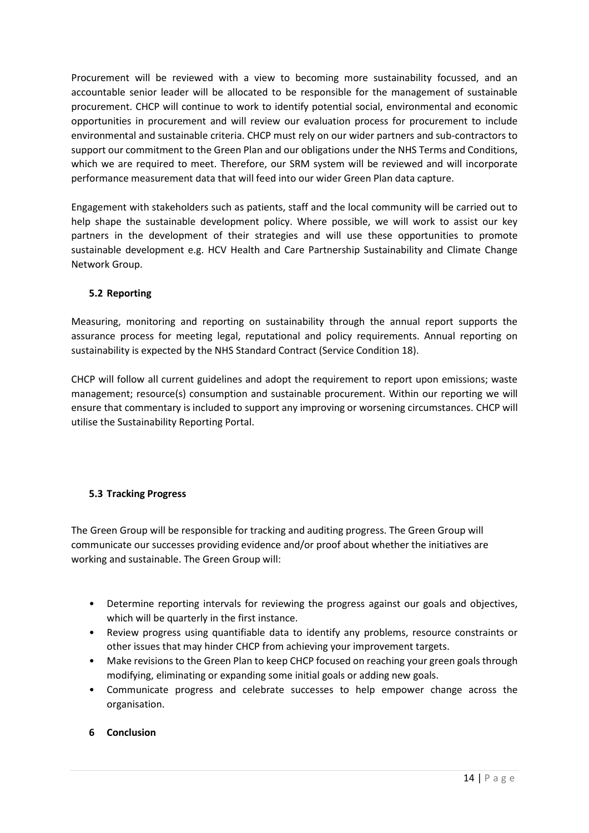Procurement will be reviewed with a view to becoming more sustainability focussed, and an accountable senior leader will be allocated to be responsible for the management of sustainable procurement. CHCP will continue to work to identify potential social, environmental and economic opportunities in procurement and will review our evaluation process for procurement to include environmental and sustainable criteria. CHCP must rely on our wider partners and sub-contractors to support our commitment to the Green Plan and our obligations under the NHS Terms and Conditions, which we are required to meet. Therefore, our SRM system will be reviewed and will incorporate performance measurement data that will feed into our wider Green Plan data capture.

Engagement with stakeholders such as patients, staff and the local community will be carried out to help shape the sustainable development policy. Where possible, we will work to assist our key partners in the development of their strategies and will use these opportunities to promote sustainable development e.g. HCV Health and Care Partnership Sustainability and Climate Change Network Group.

#### **5.2 Reporting**

Measuring, monitoring and reporting on sustainability through the annual report supports the assurance process for meeting legal, reputational and policy requirements. Annual reporting on sustainability is expected by the NHS Standard Contract (Service Condition 18).

CHCP will follow all current guidelines and adopt the requirement to report upon emissions; waste management; resource(s) consumption and sustainable procurement. Within our reporting we will ensure that commentary is included to support any improving or worsening circumstances. CHCP will utilise the Sustainability Reporting Portal.

#### **5.3 Tracking Progress**

The Green Group will be responsible for tracking and auditing progress. The Green Group will communicate our successes providing evidence and/or proof about whether the initiatives are working and sustainable. The Green Group will:

- Determine reporting intervals for reviewing the progress against our goals and objectives, which will be quarterly in the first instance.
- Review progress using quantifiable data to identify any problems, resource constraints or other issues that may hinder CHCP from achieving your improvement targets.
- Make revisions to the Green Plan to keep CHCP focused on reaching your green goals through modifying, eliminating or expanding some initial goals or adding new goals.
- Communicate progress and celebrate successes to help empower change across the organisation.

#### **6 Conclusion**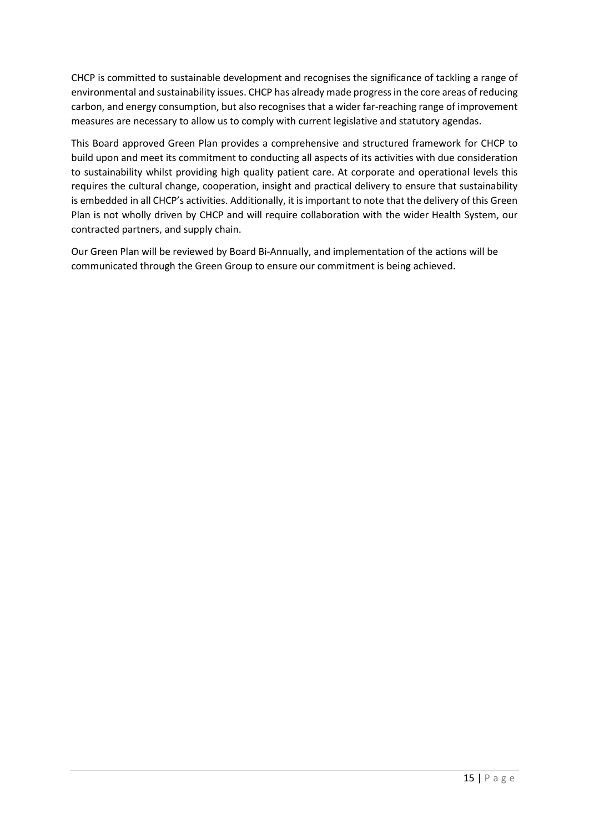CHCP is committed to sustainable development and recognises the significance of tackling a range of environmental and sustainability issues. CHCP has already made progress in the core areas of reducing carbon, and energy consumption, but also recognises that a wider far-reaching range of improvement measures are necessary to allow us to comply with current legislative and statutory agendas.

This Board approved Green Plan provides a comprehensive and structured framework for CHCP to build upon and meet its commitment to conducting all aspects of its activities with due consideration to sustainability whilst providing high quality patient care. At corporate and operational levels this requires the cultural change, cooperation, insight and practical delivery to ensure that sustainability is embedded in all CHCP's activities. Additionally, it is important to note that the delivery of this Green Plan is not wholly driven by CHCP and will require collaboration with the wider Health System, our contracted partners, and supply chain.

Our Green Plan will be reviewed by Board Bi-Annually, and implementation of the actions will be communicated through the Green Group to ensure our commitment is being achieved.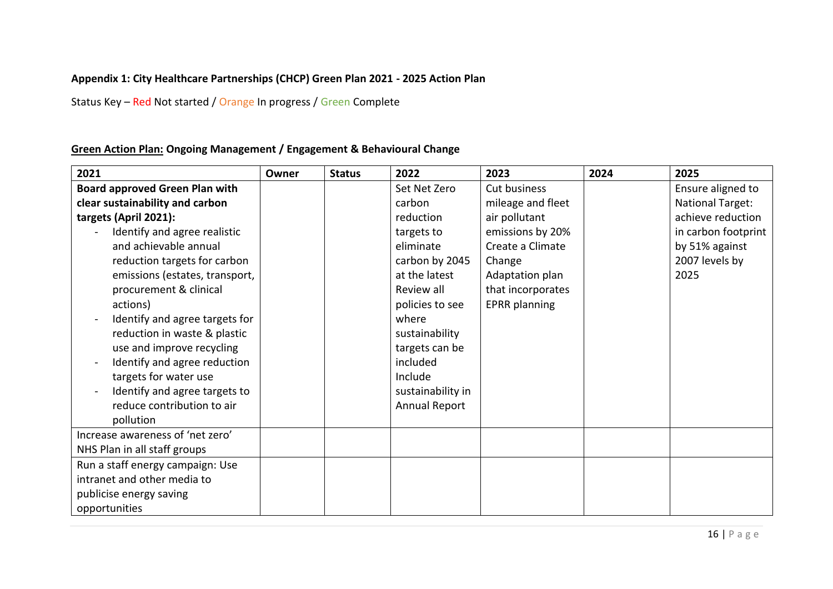### **Appendix 1: City Healthcare Partnerships (CHCP) Green Plan 2021 - 2025 Action Plan**

Status Key – Red Not started / Orange In progress / Green Complete

### **Green Action Plan: Ongoing Management / Engagement & Behavioural Change**

| 2021                                  | Owner | <b>Status</b> | 2022                 | 2023                 | 2024 | 2025                    |
|---------------------------------------|-------|---------------|----------------------|----------------------|------|-------------------------|
| <b>Board approved Green Plan with</b> |       |               | Set Net Zero         | Cut business         |      | Ensure aligned to       |
| clear sustainability and carbon       |       |               | carbon               | mileage and fleet    |      | <b>National Target:</b> |
| targets (April 2021):                 |       |               | reduction            | air pollutant        |      | achieve reduction       |
| Identify and agree realistic          |       |               | targets to           | emissions by 20%     |      | in carbon footprint     |
| and achievable annual                 |       |               | eliminate            | Create a Climate     |      | by 51% against          |
| reduction targets for carbon          |       |               | carbon by 2045       | Change               |      | 2007 levels by          |
| emissions (estates, transport,        |       |               | at the latest        | Adaptation plan      |      | 2025                    |
| procurement & clinical                |       |               | Review all           | that incorporates    |      |                         |
| actions)                              |       |               | policies to see      | <b>EPRR</b> planning |      |                         |
| Identify and agree targets for        |       |               | where                |                      |      |                         |
| reduction in waste & plastic          |       |               | sustainability       |                      |      |                         |
| use and improve recycling             |       |               | targets can be       |                      |      |                         |
| Identify and agree reduction          |       |               | included             |                      |      |                         |
| targets for water use                 |       |               | Include              |                      |      |                         |
| Identify and agree targets to         |       |               | sustainability in    |                      |      |                         |
| reduce contribution to air            |       |               | <b>Annual Report</b> |                      |      |                         |
| pollution                             |       |               |                      |                      |      |                         |
| Increase awareness of 'net zero'      |       |               |                      |                      |      |                         |
| NHS Plan in all staff groups          |       |               |                      |                      |      |                         |
| Run a staff energy campaign: Use      |       |               |                      |                      |      |                         |
| intranet and other media to           |       |               |                      |                      |      |                         |
| publicise energy saving               |       |               |                      |                      |      |                         |
| opportunities                         |       |               |                      |                      |      |                         |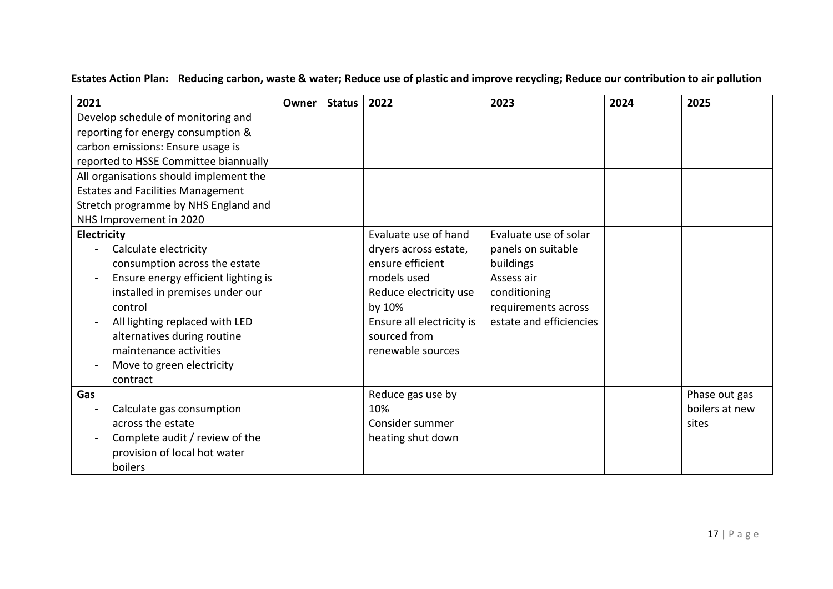# **Estates Action Plan: Reducing carbon, waste & water; Reduce use of plastic and improve recycling; Reduce our contribution to air pollution**

| 2021                                     | Owner | <b>Status</b> | 2022                      | 2023                    | 2024 | 2025           |
|------------------------------------------|-------|---------------|---------------------------|-------------------------|------|----------------|
| Develop schedule of monitoring and       |       |               |                           |                         |      |                |
| reporting for energy consumption &       |       |               |                           |                         |      |                |
| carbon emissions: Ensure usage is        |       |               |                           |                         |      |                |
| reported to HSSE Committee biannually    |       |               |                           |                         |      |                |
| All organisations should implement the   |       |               |                           |                         |      |                |
| <b>Estates and Facilities Management</b> |       |               |                           |                         |      |                |
| Stretch programme by NHS England and     |       |               |                           |                         |      |                |
| NHS Improvement in 2020                  |       |               |                           |                         |      |                |
| <b>Electricity</b>                       |       |               | Evaluate use of hand      | Evaluate use of solar   |      |                |
| Calculate electricity                    |       |               | dryers across estate,     | panels on suitable      |      |                |
| consumption across the estate            |       |               | ensure efficient          | buildings               |      |                |
| Ensure energy efficient lighting is      |       |               | models used               | Assess air              |      |                |
| installed in premises under our          |       |               | Reduce electricity use    | conditioning            |      |                |
| control                                  |       |               | by 10%                    | requirements across     |      |                |
| All lighting replaced with LED           |       |               | Ensure all electricity is | estate and efficiencies |      |                |
| alternatives during routine              |       |               | sourced from              |                         |      |                |
| maintenance activities                   |       |               | renewable sources         |                         |      |                |
| Move to green electricity                |       |               |                           |                         |      |                |
| contract                                 |       |               |                           |                         |      |                |
| Gas                                      |       |               | Reduce gas use by         |                         |      | Phase out gas  |
| Calculate gas consumption                |       |               | 10%                       |                         |      | boilers at new |
| across the estate                        |       |               | Consider summer           |                         |      | sites          |
| Complete audit / review of the           |       |               | heating shut down         |                         |      |                |
| provision of local hot water             |       |               |                           |                         |      |                |
| boilers                                  |       |               |                           |                         |      |                |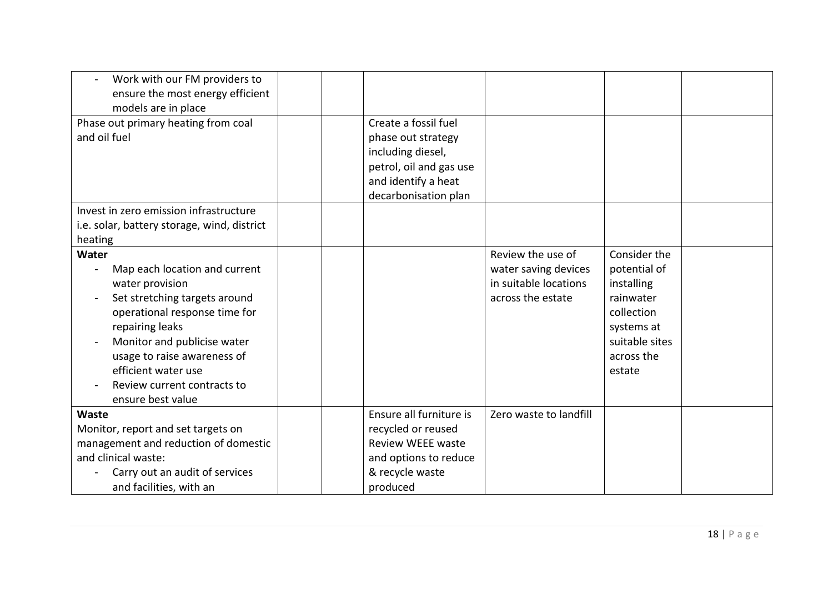| Work with our FM providers to<br>ensure the most energy efficient                                                                                                                                                                                                                       |                                                                                                                                   |                                                                                         |                                                                                                                               |  |
|-----------------------------------------------------------------------------------------------------------------------------------------------------------------------------------------------------------------------------------------------------------------------------------------|-----------------------------------------------------------------------------------------------------------------------------------|-----------------------------------------------------------------------------------------|-------------------------------------------------------------------------------------------------------------------------------|--|
| models are in place<br>Phase out primary heating from coal<br>and oil fuel                                                                                                                                                                                                              | Create a fossil fuel<br>phase out strategy<br>including diesel,<br>petrol, oil and gas use<br>and identify a heat                 |                                                                                         |                                                                                                                               |  |
| Invest in zero emission infrastructure<br>i.e. solar, battery storage, wind, district<br>heating                                                                                                                                                                                        | decarbonisation plan                                                                                                              |                                                                                         |                                                                                                                               |  |
| Water<br>Map each location and current<br>water provision<br>Set stretching targets around<br>operational response time for<br>repairing leaks<br>Monitor and publicise water<br>usage to raise awareness of<br>efficient water use<br>Review current contracts to<br>ensure best value |                                                                                                                                   | Review the use of<br>water saving devices<br>in suitable locations<br>across the estate | Consider the<br>potential of<br>installing<br>rainwater<br>collection<br>systems at<br>suitable sites<br>across the<br>estate |  |
| Waste<br>Monitor, report and set targets on<br>management and reduction of domestic<br>and clinical waste:<br>Carry out an audit of services<br>and facilities, with an                                                                                                                 | Ensure all furniture is<br>recycled or reused<br><b>Review WEEE waste</b><br>and options to reduce<br>& recycle waste<br>produced | Zero waste to landfill                                                                  |                                                                                                                               |  |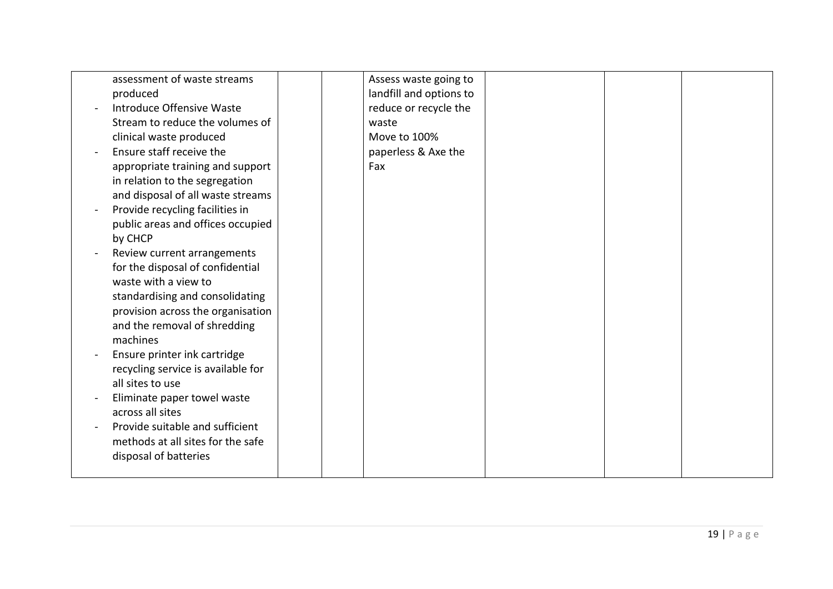| assessment of waste streams        |  | Assess waste going to   |  |  |
|------------------------------------|--|-------------------------|--|--|
| produced                           |  | landfill and options to |  |  |
| Introduce Offensive Waste          |  | reduce or recycle the   |  |  |
| Stream to reduce the volumes of    |  | waste                   |  |  |
| clinical waste produced            |  | Move to 100%            |  |  |
| Ensure staff receive the           |  | paperless & Axe the     |  |  |
| appropriate training and support   |  | Fax                     |  |  |
| in relation to the segregation     |  |                         |  |  |
| and disposal of all waste streams  |  |                         |  |  |
| Provide recycling facilities in    |  |                         |  |  |
| public areas and offices occupied  |  |                         |  |  |
| by CHCP                            |  |                         |  |  |
| Review current arrangements        |  |                         |  |  |
| for the disposal of confidential   |  |                         |  |  |
| waste with a view to               |  |                         |  |  |
| standardising and consolidating    |  |                         |  |  |
| provision across the organisation  |  |                         |  |  |
| and the removal of shredding       |  |                         |  |  |
| machines                           |  |                         |  |  |
| Ensure printer ink cartridge       |  |                         |  |  |
| recycling service is available for |  |                         |  |  |
| all sites to use                   |  |                         |  |  |
| Eliminate paper towel waste        |  |                         |  |  |
| across all sites                   |  |                         |  |  |
| Provide suitable and sufficient    |  |                         |  |  |
| methods at all sites for the safe  |  |                         |  |  |
| disposal of batteries              |  |                         |  |  |
|                                    |  |                         |  |  |
|                                    |  |                         |  |  |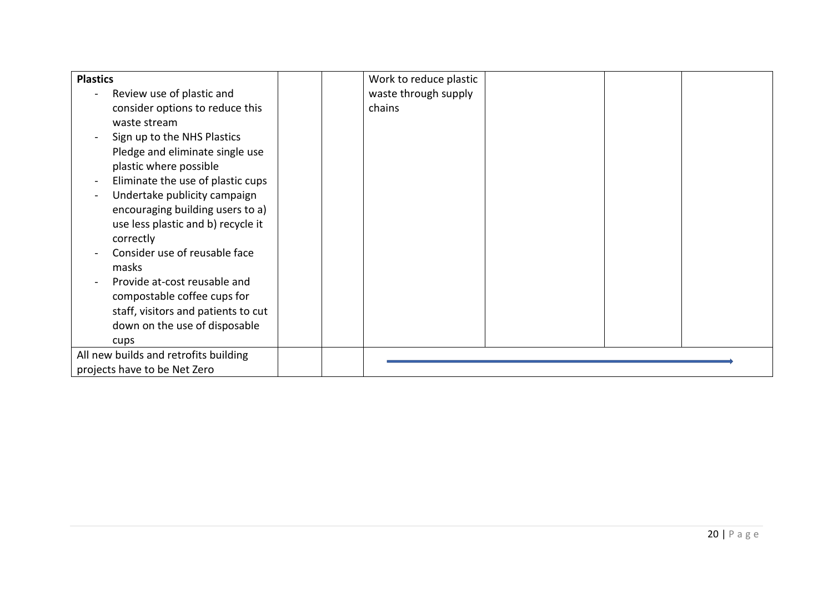| <b>Plastics</b>                       | Work to reduce plastic |
|---------------------------------------|------------------------|
| Review use of plastic and             | waste through supply   |
| consider options to reduce this       | chains                 |
| waste stream                          |                        |
| Sign up to the NHS Plastics           |                        |
| Pledge and eliminate single use       |                        |
| plastic where possible                |                        |
| Eliminate the use of plastic cups     |                        |
| Undertake publicity campaign          |                        |
| encouraging building users to a)      |                        |
| use less plastic and b) recycle it    |                        |
| correctly                             |                        |
| Consider use of reusable face         |                        |
| masks                                 |                        |
| Provide at-cost reusable and          |                        |
| compostable coffee cups for           |                        |
| staff, visitors and patients to cut   |                        |
| down on the use of disposable         |                        |
| cups                                  |                        |
| All new builds and retrofits building |                        |
| projects have to be Net Zero          |                        |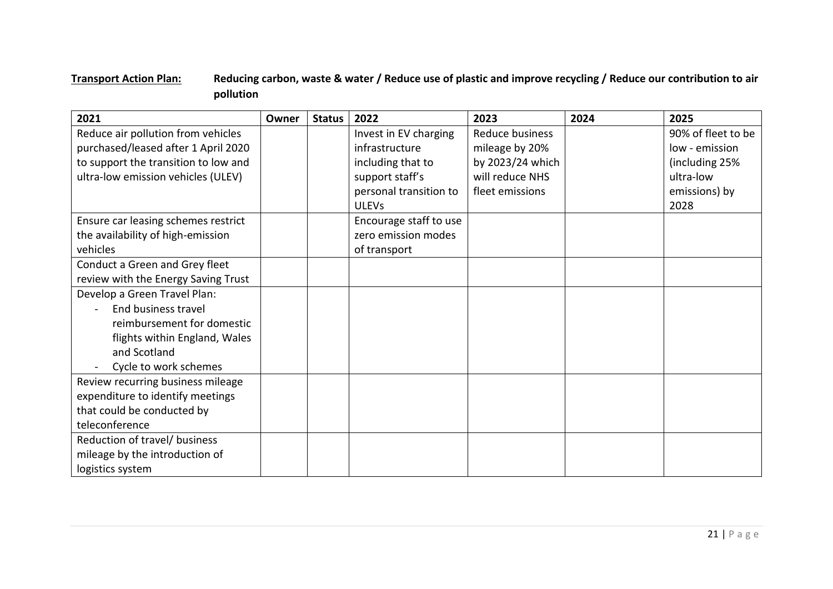## **Transport Action Plan: Reducing carbon, waste & water / Reduce use of plastic and improve recycling / Reduce our contribution to air pollution**

| 2021                                 | Owner | <b>Status</b> | 2022                   | 2023             | 2024 | 2025               |
|--------------------------------------|-------|---------------|------------------------|------------------|------|--------------------|
| Reduce air pollution from vehicles   |       |               | Invest in EV charging  | Reduce business  |      | 90% of fleet to be |
| purchased/leased after 1 April 2020  |       |               | infrastructure         | mileage by 20%   |      | low - emission     |
| to support the transition to low and |       |               | including that to      | by 2023/24 which |      | (including 25%     |
| ultra-low emission vehicles (ULEV)   |       |               | support staff's        | will reduce NHS  |      | ultra-low          |
|                                      |       |               | personal transition to | fleet emissions  |      | emissions) by      |
|                                      |       |               | <b>ULEVs</b>           |                  |      | 2028               |
| Ensure car leasing schemes restrict  |       |               | Encourage staff to use |                  |      |                    |
| the availability of high-emission    |       |               | zero emission modes    |                  |      |                    |
| vehicles                             |       |               | of transport           |                  |      |                    |
| Conduct a Green and Grey fleet       |       |               |                        |                  |      |                    |
| review with the Energy Saving Trust  |       |               |                        |                  |      |                    |
| Develop a Green Travel Plan:         |       |               |                        |                  |      |                    |
| End business travel                  |       |               |                        |                  |      |                    |
| reimbursement for domestic           |       |               |                        |                  |      |                    |
| flights within England, Wales        |       |               |                        |                  |      |                    |
| and Scotland                         |       |               |                        |                  |      |                    |
| Cycle to work schemes                |       |               |                        |                  |      |                    |
| Review recurring business mileage    |       |               |                        |                  |      |                    |
| expenditure to identify meetings     |       |               |                        |                  |      |                    |
| that could be conducted by           |       |               |                        |                  |      |                    |
| teleconference                       |       |               |                        |                  |      |                    |
| Reduction of travel/ business        |       |               |                        |                  |      |                    |
| mileage by the introduction of       |       |               |                        |                  |      |                    |
| logistics system                     |       |               |                        |                  |      |                    |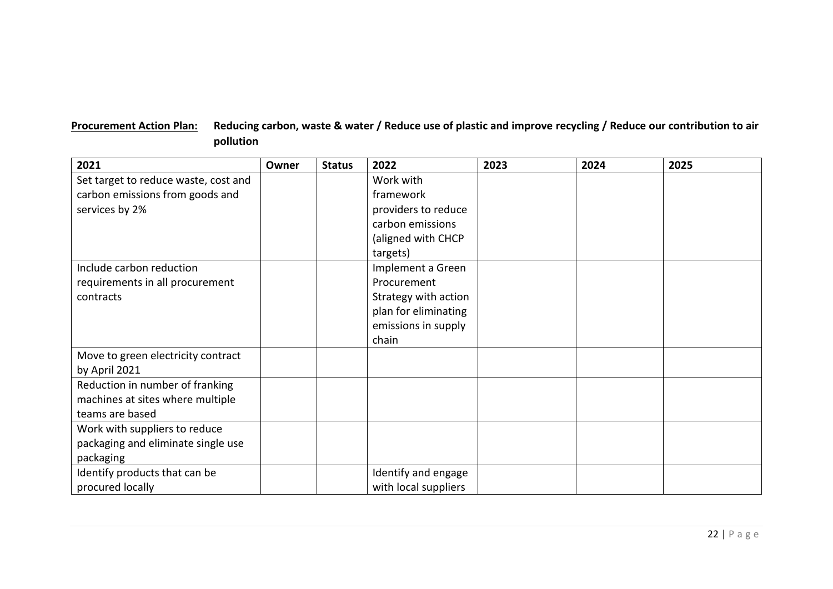## **Procurement Action Plan: Reducing carbon, waste & water / Reduce use of plastic and improve recycling / Reduce our contribution to air pollution**

| 2021                                 | Owner | <b>Status</b> | 2022                 | 2023 | 2024 | 2025 |
|--------------------------------------|-------|---------------|----------------------|------|------|------|
| Set target to reduce waste, cost and |       |               | Work with            |      |      |      |
| carbon emissions from goods and      |       |               | framework            |      |      |      |
| services by 2%                       |       |               | providers to reduce  |      |      |      |
|                                      |       |               | carbon emissions     |      |      |      |
|                                      |       |               | (aligned with CHCP   |      |      |      |
|                                      |       |               | targets)             |      |      |      |
| Include carbon reduction             |       |               | Implement a Green    |      |      |      |
| requirements in all procurement      |       |               | Procurement          |      |      |      |
| contracts                            |       |               | Strategy with action |      |      |      |
|                                      |       |               | plan for eliminating |      |      |      |
|                                      |       |               | emissions in supply  |      |      |      |
|                                      |       |               | chain                |      |      |      |
| Move to green electricity contract   |       |               |                      |      |      |      |
| by April 2021                        |       |               |                      |      |      |      |
| Reduction in number of franking      |       |               |                      |      |      |      |
| machines at sites where multiple     |       |               |                      |      |      |      |
| teams are based                      |       |               |                      |      |      |      |
| Work with suppliers to reduce        |       |               |                      |      |      |      |
| packaging and eliminate single use   |       |               |                      |      |      |      |
| packaging                            |       |               |                      |      |      |      |
| Identify products that can be        |       |               | Identify and engage  |      |      |      |
| procured locally                     |       |               | with local suppliers |      |      |      |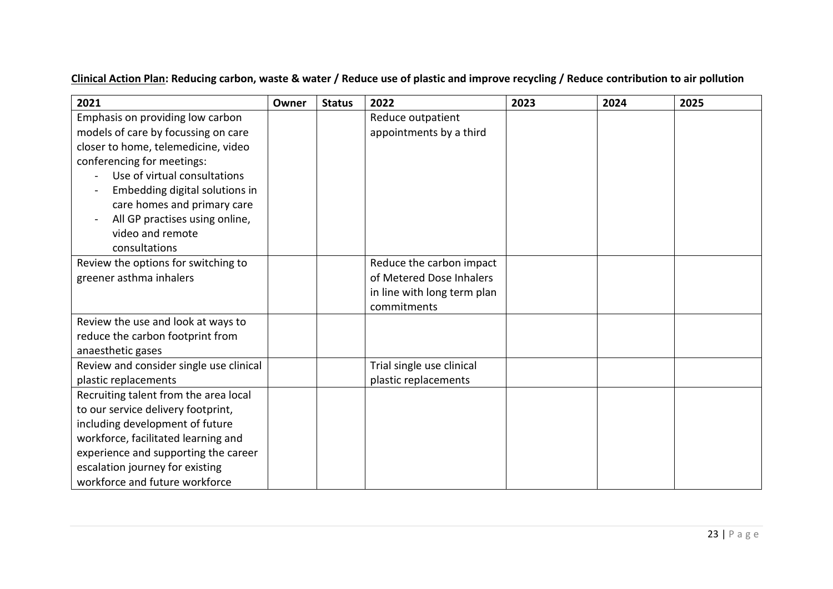# **Clinical Action Plan: Reducing carbon, waste & water / Reduce use of plastic and improve recycling / Reduce contribution to air pollution**

| 2021                                    | Owner | <b>Status</b> | 2022                        | 2023 | 2024 | 2025 |
|-----------------------------------------|-------|---------------|-----------------------------|------|------|------|
| Emphasis on providing low carbon        |       |               | Reduce outpatient           |      |      |      |
| models of care by focussing on care     |       |               | appointments by a third     |      |      |      |
| closer to home, telemedicine, video     |       |               |                             |      |      |      |
| conferencing for meetings:              |       |               |                             |      |      |      |
| Use of virtual consultations            |       |               |                             |      |      |      |
| Embedding digital solutions in          |       |               |                             |      |      |      |
| care homes and primary care             |       |               |                             |      |      |      |
| All GP practises using online,          |       |               |                             |      |      |      |
| video and remote                        |       |               |                             |      |      |      |
| consultations                           |       |               |                             |      |      |      |
| Review the options for switching to     |       |               | Reduce the carbon impact    |      |      |      |
| greener asthma inhalers                 |       |               | of Metered Dose Inhalers    |      |      |      |
|                                         |       |               | in line with long term plan |      |      |      |
|                                         |       |               | commitments                 |      |      |      |
| Review the use and look at ways to      |       |               |                             |      |      |      |
| reduce the carbon footprint from        |       |               |                             |      |      |      |
| anaesthetic gases                       |       |               |                             |      |      |      |
| Review and consider single use clinical |       |               | Trial single use clinical   |      |      |      |
| plastic replacements                    |       |               | plastic replacements        |      |      |      |
| Recruiting talent from the area local   |       |               |                             |      |      |      |
| to our service delivery footprint,      |       |               |                             |      |      |      |
| including development of future         |       |               |                             |      |      |      |
| workforce, facilitated learning and     |       |               |                             |      |      |      |
| experience and supporting the career    |       |               |                             |      |      |      |
| escalation journey for existing         |       |               |                             |      |      |      |
| workforce and future workforce          |       |               |                             |      |      |      |